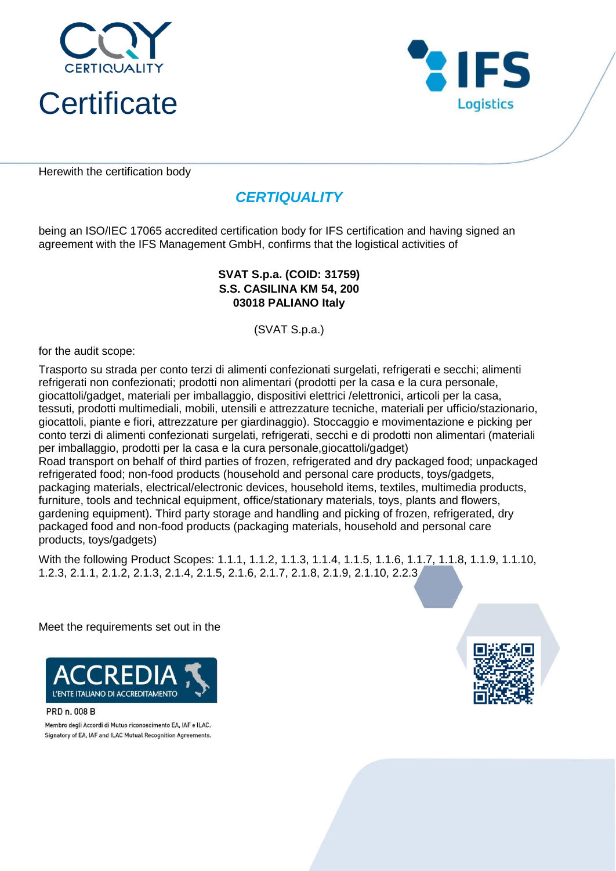



Herewith the certification body

# *CERTIQUALITY*

being an ISO/IEC 17065 accredited certification body for IFS certification and having signed an agreement with the IFS Management GmbH, confirms that the logistical activities of

#### **S.S. CASILINA KM 54, 200 03018 PALIANO Italy SVAT S.p.a. (COID: 31759)**

(SVAT S.p.a.)

for the audit scope:

Trasporto su strada per conto terzi di alimenti confezionati surgelati, refrigerati e secchi; alimenti refrigerati non confezionati; prodotti non alimentari (prodotti per la casa e la cura personale, giocattoli/gadget, materiali per imballaggio, dispositivi elettrici /elettronici, articoli per la casa, tessuti, prodotti multimediali, mobili, utensili e attrezzature tecniche, materiali per ufficio/stazionario, giocattoli, piante e fiori, attrezzature per giardinaggio). Stoccaggio e movimentazione e picking per conto terzi di alimenti confezionati surgelati, refrigerati, secchi e di prodotti non alimentari (materiali per imballaggio, prodotti per la casa e la cura personale,giocattoli/gadget) Road transport on behalf of third parties of frozen, refrigerated and dry packaged food; unpackaged refrigerated food; non-food products (household and personal care products, toys/gadgets, packaging materials, electrical/electronic devices, household items, textiles, multimedia products, furniture, tools and technical equipment, office/stationary materials, toys, plants and flowers, gardening equipment). Third party storage and handling and picking of frozen, refrigerated, dry packaged food and non-food products (packaging materials, household and personal care products, toys/gadgets)

With the following Product Scopes: 1.1.1, 1.1.2, 1.1.3, 1.1.4, 1.1.5, 1.1.6, 1.1.7, 1.1.8, 1.1.9, 1.1.10, 1.2.3, 2.1.1, 2.1.2, 2.1.3, 2.1.4, 2.1.5, 2.1.6, 2.1.7, 2.1.8, 2.1.9, 2.1.10, 2.2.3

Meet the requirements set out in the



PRD n. 008 B

Membro degli Accordi di Mutuo riconoscimento EA, IAF e ILAC. Signatory of EA, IAF and ILAC Mutual Recognition Agreements.